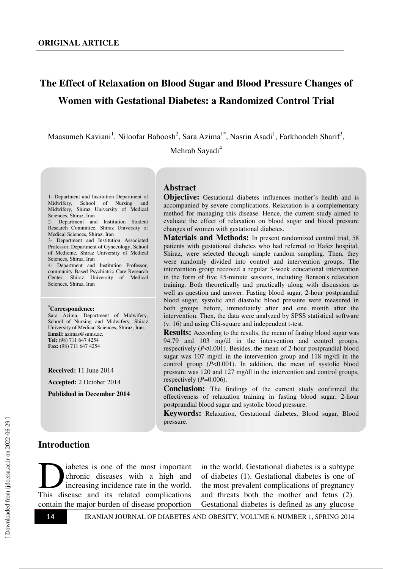# **The Effect of Relaxation on Blood Sugar and Blood Pressure Changes of Women with Gestational Diabetes: a Randomized Control Trial**

Maasumeh Kaviani<sup>1</sup>, Niloofar Bahoosh<sup>2</sup>, Sara Azima<sup>1\*</sup>, Nasrin Asadi<sup>1</sup>, Farkhondeh Sharif<sup>3</sup>,

Mehrab Sayadi<sup>4</sup>

1- Department and Institution Department of Midwifery, School of Nursing and Midwifery, Shiraz University of Medical Sciences, Shiraz, Iran

2- Department and Institution Student Research Committee, Shiraz University of Medical Sciences, Shiraz, Iran

3- Department and Institution Associated Professor, Department of Gynecology, School of Medicine, Shiraz University of Medical Sciences, Shiraz, Iran

4- Department and Institution Professor, community Based Psychiatric Care Research Center, Shiraz University of Medical Sciences, Shiraz, Iran

#### **\*Correspondence:**

Sara Azima, Department of Midwifery, School of Nursing and Midwifery, Shiraz University of Medical Sciences, Shiraz, Iran. **Email**: azimas@sums.ac. **Tel:** (98) 711 647 4254 **Fax:** (98) 711 647 4254

**Received:** 11 June 2014

**Accepted:** 2 October 2014

**Published in December 2014** 

#### **Abstract**

**Objective:** Gestational diabetes influences mother's health and is accompanied by severe complications. Relaxation is a complementary method for managing this disease. Hence, the current study aimed to evaluate the effect of relaxation on blood sugar and blood pressure changes of women with gestational diabetes.

**Materials and Methods:** In present randomized control trial, 58 patients with gestational diabetes who had referred to Hafez hospital, Shiraz, were selected through simple random sampling. Then, they were randomly divided into control and intervention groups. The intervention group received a regular 3-week educational intervention in the form of five 45-minute sessions, including Benson's relaxation training. Both theoretically and practically along with discussion as well as question and answer. Fasting blood sugar, 2-hour postprandial blood sugar, systolic and diastolic blood pressure were measured in both groups before, immediately after and one month after the intervention. Then, the data were analyzed by SPSS statistical software (v. 16) and using Chi-square and independent t-test.

**Results:** According to the results, the mean of fasting blood sugar was 94.79 and 103 mg/dl in the intervention and control groups, respectively (*P*<0.001). Besides, the mean of 2-hour postprandial blood sugar was 107 mg/dl in the intervention group and 118 mg/dl in the control group (*P*<0.001). In addition, the mean of systolic blood pressure was 120 and 127 mg/dl in the intervention and control groups, respectively  $(P=0.006)$ .

**Conclusion:** The findings of the current study confirmed the effectiveness of relaxation training in fasting blood sugar, 2-hour postprandial blood sugar and systolic blood pressure.

**Keywords:** Relaxation, Gestational diabetes, Blood sugar, Blood pressure.

#### **Introduction**

iabetes is one of the most important chronic diseases with a high and increasing incidence rate in the world. abetes is one of the most important<br>chronic diseases with a high and<br>increasing incidence rate in the world.<br>This disease and its related complications contain the major burden of disease proportion

in the world. Gestational diabetes is a subtype of diabetes (1). Gestational diabetes is one of the most prevalent complications of pregnancy and threats both the mother and fetus (2). Gestational diabetes is defined as any glucose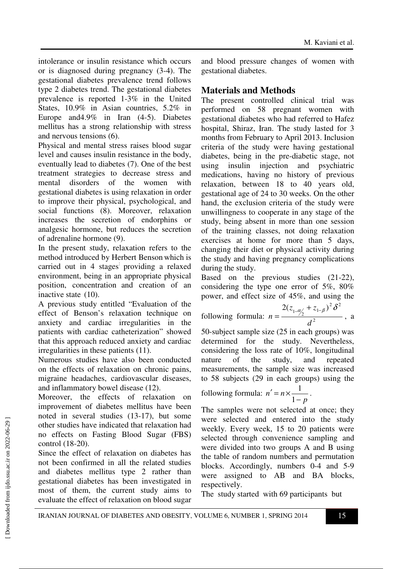intolerance or insulin resistance which occurs or is diagnosed during pregnancy (3-4). The gestational diabetes prevalence trend follows type 2 diabetes trend. The gestational diabetes prevalence is reported 1-3% in the United States, 10.9% in Asian countries, 5.2% in Europe and4.9% in Iran (4-5). Diabetes mellitus has a strong relationship with stress and nervous tensions (6).

Physical and mental stress raises blood sugar level and causes insulin resistance in the body, eventually lead to diabetes (7). One of the best treatment strategies to decrease stress and mental disorders of the women with gestational diabetes is using relaxation in order to improve their physical, psychological, and social functions (8). Moreover, relaxation increases the secretion of endorphins or analgesic hormone, but reduces the secretion of adrenaline hormone (9).

In the present study, relaxation refers to the method introduced by Herbert Benson which is carried out in 4 stages: providing a relaxed environment, being in an appropriate physical position, concentration and creation of an inactive state (10).

A previous study entitled "Evaluation of the effect of Benson's relaxation technique on anxiety and cardiac irregularities in the patients with cardiac catheterization" showed that this approach reduced anxiety and cardiac irregularities in these patients (11).

Numerous studies have also been conducted on the effects of relaxation on chronic pains, migraine headaches, cardiovascular diseases, and inflammatory bowel disease (12).

Moreover, the effects of relaxation on improvement of diabetes mellitus have been noted in several studies (13-17), but some other studies have indicated that relaxation had no effects on Fasting Blood Sugar (FBS) control (18-20).

Since the effect of relaxation on diabetes has not been confirmed in all the related studies and diabetes mellitus type 2 rather than gestational diabetes has been investigated in most of them, the current study aims to evaluate the effect of relaxation on blood sugar

and blood pressure changes of women with gestational diabetes.

### **Materials and Methods**

The present controlled clinical trial was performed on 58 pregnant women with gestational diabetes who had referred to Hafez hospital, Shiraz, Iran. The study lasted for 3 months from February to April 2013. Inclusion criteria of the study were having gestational diabetes, being in the pre-diabetic stage, not using insulin injection and psychiatric medications, having no history of previous relaxation, between 18 to 40 years old, gestational age of 24 to 30 weeks. On the other hand, the exclusion criteria of the study were unwillingness to cooperate in any stage of the study, being absent in more than one session of the training classes, not doing relaxation exercises at home for more than 5 days, changing their diet or physical activity during the study and having pregnancy complications during the study.

Based on the previous studies (21-22), considering the type one error of 5%, 80% power, and effect size of 45%, and using the

following formula:  $n = \frac{1/2}{d^2}$ 2  $\mathcal{S}^2$  $2(z_{1-a/2} + z_{1-\beta})$  $z_{1\alpha}$  + z *n*  $\frac{1}{2}a'_\lambda + z_{1-\beta}^{\phantom{\alpha}})^2 \delta$  $=\frac{1}{2}$  , a

*d* 50-subject sample size (25 in each groups) was determined for the study. Nevertheless, considering the loss rate of 10%, longitudinal nature of the study, and repeated measurements, the sample size was increased to 58 subjects (29 in each groups) using the

following formula: *p n n* −  $\prime = n \times$ 1  $\frac{1}{\cdot}$ .

The samples were not selected at once; they were selected and entered into the study weekly. Every week, 15 to 20 patients were selected through convenience sampling and were divided into two groups A and B using the table of random numbers and permutation blocks. Accordingly, numbers 0-4 and 5-9 were assigned to AB and BA blocks, respectively.

The study started with 69 participants but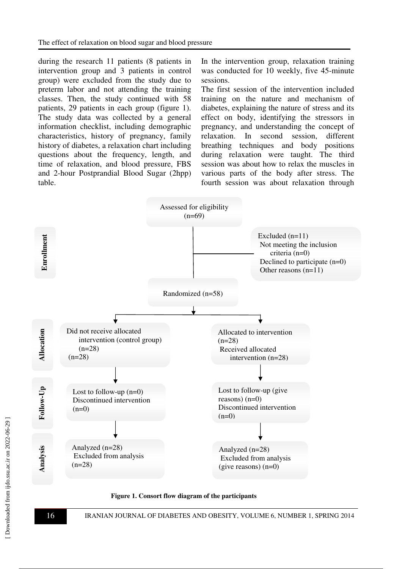during the research 11 patients (8 patients in intervention group and 3 patients in control group) were excluded from the study due to preterm labor and not attending the training classes. Then, the study continued with 58 patients, 29 patients in each group (figure 1). The study data was collected by a general information checklist, including demographic characteristics, history of pregnancy, family history of diabetes, a relaxation chart including questions about the frequency, length, and time of relaxation, and blood pressure, FBS and 2-hour Postprandial Blood Sugar (2hpp) table.

In the intervention group, relaxation training was conducted for 10 weekly, five 45-minute sessions.

The first session of the intervention included training on the nature and mechanism of diabetes, explaining the nature of stress and its effect on body, identifying the stressors in pregnancy, and understanding the concept of relaxation. In second session, different breathing techniques and body positions during relaxation were taught. The third session was about how to relax the muscles in various parts of the body after stress. The fourth session was about relaxation through



**Figure 1. Consort flow diagram of the participants**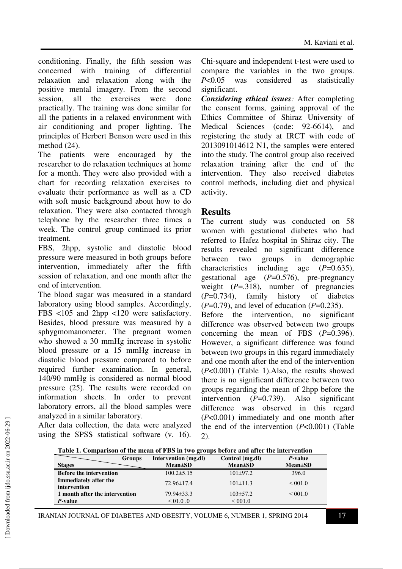conditioning. Finally, the fifth session was concerned with training of differential relaxation and relaxation along with the positive mental imagery. From the second session, all the exercises were done practically. The training was done similar for all the patients in a relaxed environment with air conditioning and proper lighting. The principles of Herbert Benson were used in this method (24).

The patients were encouraged by the researcher to do relaxation techniques at home for a month. They were also provided with a chart for recording relaxation exercises to evaluate their performance as well as a CD with soft music background about how to do relaxation. They were also contacted through telephone by the researcher three times a week. The control group continued its prior treatment.

FBS, 2hpp, systolic and diastolic blood pressure were measured in both groups before intervention, immediately after the fifth session of relaxation, and one month after the end of intervention.

The blood sugar was measured in a standard laboratory using blood samples. Accordingly, FBS <105 and 2hpp <120 were satisfactory. Besides, blood pressure was measured by a sphygmomanometer. The pregnant women who showed a 30 mmHg increase in systolic blood pressure or a 15 mmHg increase in diastolic blood pressure compared to before required further examination. In general, 140/90 mmHg is considered as normal blood pressure (25). The results were recorded on information sheets. In order to prevent laboratory errors, all the blood samples were analyzed in a similar laboratory.

After data collection, the data were analyzed using the SPSS statistical software (v. 16). Chi-square and independent t-test were used to compare the variables in the two groups. *P*<0.05 was considered as statistically significant.

*Considering ethical issues:* After completing the consent forms, gaining approval of the Ethics Committee of Shiraz University of Medical Sciences (code: 92-6614), and registering the study at IRCT with code of 2013091014612 N1, the samples were entered into the study. The control group also received relaxation training after the end of the intervention. They also received diabetes control methods, including diet and physical activity.

#### **Results**

The current study was conducted on 58 women with gestational diabetes who had referred to Hafez hospital in Shiraz city. The results revealed no significant difference between two groups in demographic characteristics including age (*P*=0.635), gestational age (*P*=0.576), pre-pregnancy weight (*P*=.318), number of pregnancies (*P*=0.734), family history of diabetes (*P*=0.79), and level of education (*P*=0.235). Before the intervention, no significant difference was observed between two groups concerning the mean of FBS (*P*=0.396). However, a significant difference was found between two groups in this regard immediately and one month after the end of the intervention (*P*<0.001) (Table 1).Also, the results showed there is no significant difference between two groups regarding the mean of 2hpp before the intervention (P=0.739). Also significant difference was observed in this regard (*P*<0.001) immediately and one month after the end of the intervention (*P*<0.001) (Table 2).

| Table 1. Comparison of the mean of FBS in two groups before and after the intervention |        |                      |                 |                         |  |
|----------------------------------------------------------------------------------------|--------|----------------------|-----------------|-------------------------|--|
|                                                                                        | Groups | Intervention (mg.dl) | Control (mg.dl) | <i>P</i> -value         |  |
| <b>Stages</b>                                                                          |        | <b>Mean</b> ±SD      | <b>Mean</b> ±SD | <b>Mean</b> ±SD         |  |
| <b>Before the intervention</b>                                                         |        | $100.2 \pm 5.15$     | $101\pm97.2$    | 396.0                   |  |
| Immediately after the<br>intervention                                                  |        | $72.96\pm 17.4$      | $101\pm11.3$    | ${}_{0.01}$ ${}_{0.01}$ |  |
| 1 month after the intervention                                                         |        | $79.94\pm33.3$       | $103 \pm 57.2$  | ${}_{0.01}$ < 001.0     |  |

**Table 1. Comparison of the mean of FBS in two groups before and after the intervention** 

IRANIAN JOURNAL OF DIABETES AND OBESITY, VOLUME 6, NUMBER 1, SPRING 2014 17

 $P$ **-value**  $\leq 01.0$  .0  $\leq 001.0$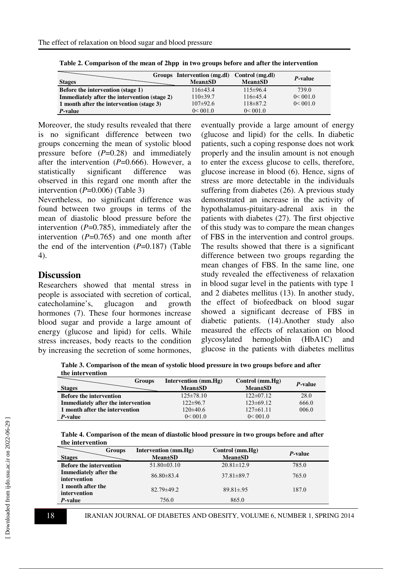| <b>Stages</b>                                | Groups Intervention (mg.dl)<br><b>Mean</b> ±SD | Control (mg.dl)<br><b>Mean</b> ±SD | <i>P</i> -value |
|----------------------------------------------|------------------------------------------------|------------------------------------|-----------------|
| <b>Before the intervention (stage 1)</b>     | $116\pm 43.4$                                  | $115\pm96.4$                       | 739.0           |
| Immediately after the intervention (stage 2) | $110\pm39.7$                                   | $116\pm 45.4$                      | 0< 001.0        |
| 1 month after the intervention (stage 3)     | $107\pm92.6$                                   | $118\pm 87.2$                      | 0 < 001.0       |
| <i>P</i> -value                              | 0< 001.0                                       | 0< 001.0                           |                 |

**Table 2. Comparison of the mean of 2hpp in two groups before and after the intervention** 

Moreover, the study results revealed that there is no significant difference between two groups concerning the mean of systolic blood pressure before (*P*=0.28) and immediately after the intervention (*P*=0.666). However, a statistically significant difference was observed in this regard one month after the intervention  $(P=0.006)$  (Table 3)

Nevertheless, no significant difference was found between two groups in terms of the mean of diastolic blood pressure before the intervention  $(P=0.785)$ , immediately after the intervention  $(P=0.765)$  and one month after the end of the intervention (*P*=0.187) (Table 4).

#### **Discussion**

Researchers showed that mental stress in people is associated with secretion of cortical, catecholamine's, glucagon and growth hormones (7). These four hormones increase blood sugar and provide a large amount of energy (glucose and lipid) for cells. While stress increases, body reacts to the condition by increasing the secretion of some hormones,

eventually provide a large amount of energy (glucose and lipid) for the cells. In diabetic patients, such a coping response does not work properly and the insulin amount is not enough to enter the excess glucose to cells, therefore, glucose increase in blood (6). Hence, signs of stress are more detectable in the individuals suffering from diabetes (26). A previous study demonstrated an increase in the activity of hypothalamus-pituitary-adrenal axis in the patients with diabetes (27). The first objective of this study was to compare the mean changes of FBS in the intervention and control groups. The results showed that there is a significant difference between two groups regarding the mean changes of FBS. In the same line, one study revealed the effectiveness of relaxation in blood sugar level in the patients with type 1 and 2 diabetes mellitus (13). In another study, the effect of biofeedback on blood sugar showed a significant decrease of FBS in diabetic patients. (14).Another study also measured the effects of relaxation on blood glycosylated hemoglobin (HbA1C) and glucose in the patients with diabetes mellitus

**Table 3. Comparison of the mean of systolic blood pressure in two groups before and after the intervention** 

| <b>Groups</b>                             | Intervention (mm.Hg) | Control $(mm.Hg)$ | P-value |
|-------------------------------------------|----------------------|-------------------|---------|
| <b>Stages</b>                             | <b>Mean</b> ±SD      | <b>Mean</b> ±SD   |         |
| <b>Before the intervention</b>            | $125 \pm 78.10$      | $122 \pm 07.12$   | 28.0    |
| <b>Immediately after the intervention</b> | $122\pm 96.7$        | $123\pm 69.12$    | 666.0   |
| 1 month after the intervention            | $120\pm 40.6$        | $127 \pm 61.11$   | 006.0   |
| P-value                                   | 0 < 001.0            | 0< 001.0          |         |

**Table 4. Comparison of the mean of diastolic blood pressure in two groups before and after the intervention** 

| <b>Stages</b>                         | <b>Groups</b> | Intervention $(mm.Hg)$<br><b>Mean</b> ±SD | Control (mm.Hg)<br><b>Mean</b> ±SD | P-value |
|---------------------------------------|---------------|-------------------------------------------|------------------------------------|---------|
| <b>Before the intervention</b>        |               | $51.80 \pm 03.10$                         | $20.81 \pm 12.9$                   | 785.0   |
| Immediately after the<br>intervention |               | $86.80\pm83.4$                            | $37.81 \pm 89.7$                   | 765.0   |
| 1 month after the<br>intervention     |               | $82.79 \pm 49.2$                          | $89.81 \pm .95$                    | 187.0   |
| <i>P</i> -value                       |               | 756.0                                     | 865.0                              |         |
|                                       |               |                                           |                                    |         |

18 IRANIAN JOURNAL OF DIABETES AND OBESITY, VOLUME 6, NUMBER 1, SPRING 2014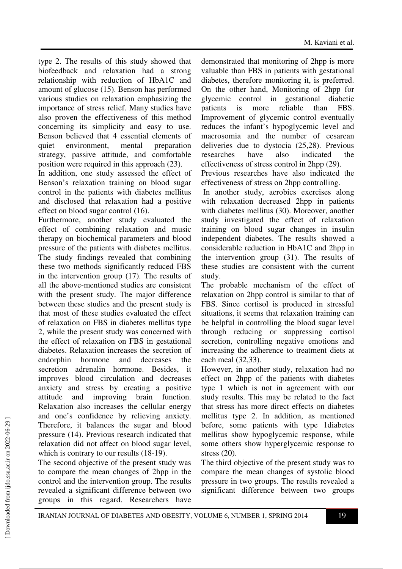type 2. The results of this study showed that biofeedback and relaxation had a strong relationship with reduction of HbA1C and amount of glucose (15). Benson has performed various studies on relaxation emphasizing the importance of stress relief. Many studies have also proven the effectiveness of this method concerning its simplicity and easy to use. Benson believed that 4 essential elements of quiet environment, mental preparation strategy, passive attitude, and comfortable position were required in this approach (23).

In addition, one study assessed the effect of Benson's relaxation training on blood sugar control in the patients with diabetes mellitus and disclosed that relaxation had a positive effect on blood sugar control (16).

Furthermore, another study evaluated the effect of combining relaxation and music therapy on biochemical parameters and blood pressure of the patients with diabetes mellitus. The study findings revealed that combining these two methods significantly reduced FBS in the intervention group (17). The results of all the above-mentioned studies are consistent with the present study. The major difference between these studies and the present study is that most of these studies evaluated the effect of relaxation on FBS in diabetes mellitus type 2, while the present study was concerned with the effect of relaxation on FBS in gestational diabetes. Relaxation increases the secretion of endorphin hormone and decreases the secretion adrenalin hormone. Besides, it improves blood circulation and decreases anxiety and stress by creating a positive attitude and improving brain function. Relaxation also increases the cellular energy and one's confidence by relieving anxiety. Therefore, it balances the sugar and blood pressure (14). Previous research indicated that relaxation did not affect on blood sugar level, which is contrary to our results  $(18-19)$ .

The second objective of the present study was to compare the mean changes of 2hpp in the control and the intervention group. The results revealed a significant difference between two groups in this regard. Researchers have

demonstrated that monitoring of 2hpp is more valuable than FBS in patients with gestational diabetes, therefore monitoring it, is preferred. On the other hand, Monitoring of 2hpp for glycemic control in gestational diabetic patients is more reliable than FBS. Improvement of glycemic control eventually reduces the infant's hypoglycemic level and macrosomia and the number of cesarean deliveries due to dystocia (25,28). Previous researches have also indicated the effectiveness of stress control in 2hpp (29).

Previous researches have also indicated the effectiveness of stress on 2hpp controlling.

 In another study, aerobics exercises along with relaxation decreased 2hpp in patients with diabetes mellitus (30). Moreover, another study investigated the effect of relaxation training on blood sugar changes in insulin independent diabetes. The results showed a considerable reduction in HbA1C and 2hpp in the intervention group (31). The results of these studies are consistent with the current study.

The probable mechanism of the effect of relaxation on 2hpp control is similar to that of FBS. Since cortisol is produced in stressful situations, it seems that relaxation training can be helpful in controlling the blood sugar level through reducing or suppressing cortisol secretion, controlling negative emotions and increasing the adherence to treatment diets at each meal (32,33).

However, in another study, relaxation had no effect on 2hpp of the patients with diabetes type 1 which is not in agreement with our study results. This may be related to the fact that stress has more direct effects on diabetes mellitus type 2. In addition, as mentioned before, some patients with type 1diabetes mellitus show hypoglycemic response, while some others show hyperglycemic response to stress (20).

The third objective of the present study was to compare the mean changes of systolic blood pressure in two groups. The results revealed a significant difference between two groups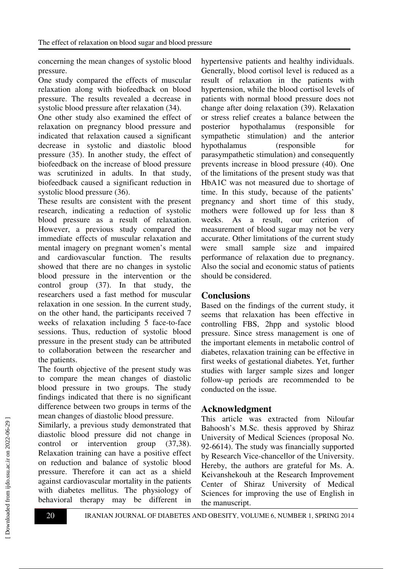concerning the mean changes of systolic blood pressure.

One study compared the effects of muscular relaxation along with biofeedback on blood pressure. The results revealed a decrease in systolic blood pressure after relaxation (34).

One other study also examined the effect of relaxation on pregnancy blood pressure and indicated that relaxation caused a significant decrease in systolic and diastolic blood pressure (35). In another study, the effect of biofeedback on the increase of blood pressure was scrutinized in adults. In that study, biofeedback caused a significant reduction in systolic blood pressure (36).

These results are consistent with the present research, indicating a reduction of systolic blood pressure as a result of relaxation. However, a previous study compared the immediate effects of muscular relaxation and mental imagery on pregnant women's mental and cardiovascular function. The results showed that there are no changes in systolic blood pressure in the intervention or the control group (37). In that study, the researchers used a fast method for muscular relaxation in one session. In the current study, on the other hand, the participants received 7 weeks of relaxation including 5 face-to-face sessions. Thus, reduction of systolic blood pressure in the present study can be attributed to collaboration between the researcher and the patients.

The fourth objective of the present study was to compare the mean changes of diastolic blood pressure in two groups. The study findings indicated that there is no significant difference between two groups in terms of the mean changes of diastolic blood pressure.

Similarly, a previous study demonstrated that diastolic blood pressure did not change in control or intervention group (37,38). Relaxation training can have a positive effect on reduction and balance of systolic blood pressure. Therefore it can act as a shield against cardiovascular mortality in the patients with diabetes mellitus. The physiology of behavioral therapy may be different in hypertensive patients and healthy individuals. Generally, blood cortisol level is reduced as a result of relaxation in the patients with hypertension, while the blood cortisol levels of patients with normal blood pressure does not change after doing relaxation (39). Relaxation or stress relief creates a balance between the posterior hypothalamus (responsible for sympathetic stimulation) and the anterior hypothalamus (responsible for parasympathetic stimulation) and consequently prevents increase in blood pressure (40). One of the limitations of the present study was that HbA1C was not measured due to shortage of time. In this study, because of the patients' pregnancy and short time of this study, mothers were followed up for less than 8 weeks. As a result, our criterion of measurement of blood sugar may not be very accurate. Other limitations of the current study were small sample size and impaired performance of relaxation due to pregnancy. Also the social and economic status of patients should be considered.

#### **Conclusions**

Based on the findings of the current study, it seems that relaxation has been effective in controlling FBS, 2hpp and systolic blood pressure. Since stress management is one of the important elements in metabolic control of diabetes, relaxation training can be effective in first weeks of gestational diabetes. Yet, further studies with larger sample sizes and longer follow-up periods are recommended to be conducted on the issue.

## **Acknowledgment**

This article was extracted from Niloufar Bahoosh's M.Sc. thesis approved by Shiraz University of Medical Sciences (proposal No. 92-6614). The study was financially supported by Research Vice-chancellor of the University. Hereby, the authors are grateful for Ms. A. Keivanshekouh at the Research Improvement Center of Shiraz University of Medical Sciences for improving the use of English in the manuscript.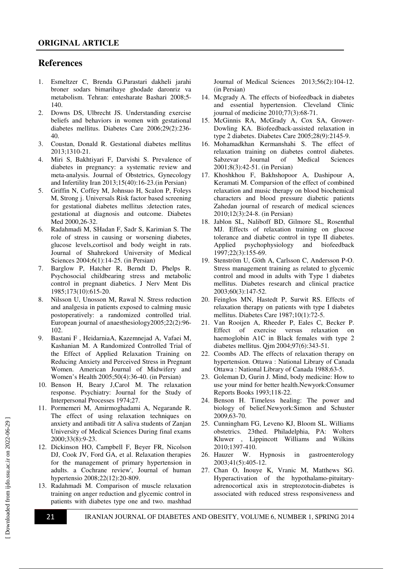#### **References**

- 1. Esmeltzer C, Brenda G.Parastari dakheli jarahi broner sodars bimarihaye ghodade daronriz va metabolism. Tehran: entesharate Bashari 2008;5- 140.
- 2. Downs DS, Ulbrecht JS. Understanding exercise beliefs and behaviors in women with gestational diabetes mellitus. Diabetes Care 2006;29(2):236- 40.
- 3. Coustan, Donald R. Gestational diabetes mellitus 2013;1310-21.
- 4. Miri S, Bakhtiyari F, Darvishi S. Prevalence of diabetes in pregnancy: a systematic review and meta-analysis. Journal of Obstetrics, Gynecology and Infertility Iran 2013;15(40):16-23.(in Persian)
- 5. Griffin N, Coffey M, Johnsuo H, Scalon P, Foleys M, Strong j. Universals Risk factor based screening for gestational diabetes mellitus :detection rates, gestational at diagnosis and outcome. Diabetes Med 2000,26-32.
- 6. Radahmadi M, SHadan F, Sadr S, Karimian S. The role of stress in causing or worsening diabetes, glucose levels,cortisol and body weight in rats. Journal of Shahrekord University of Medical Sciences 2004;6(1):14-25. (in Persian)
- 7. Barglow P, Hatcher R, Berndt D, Phelps R. Psychosocial childbearing stress and metabolic control in pregnant diabetics. J Nerv Ment Dis 1985;173(10):615-20.
- 8. Nilsson U, Unosson M, Rawal N. Stress reduction and analgesia in patients exposed to calming music postoperatively: a randomized controlled trial. European journal of anaesthesiology2005;22(2):96- 102.
- 9. Bastani F , HeidarniaA, Kazemnejad A, Vafaei M, Kashanian M. A Randomized Controlled Trial of the Effect of Applied Relaxation Training on Reducing Anxiety and Perceived Stress in Pregnant Women. American Journal of Midwifery and Women's Health 2005;50(4):36-40. (in Persian)
- 10. Benson H, Beary J,Carol M. The relaxation response. Psychiatry: Journal for the Study of Interpersonal Processes 1974;27.
- 11. Pormemeri M, Amirmoghadami A, Negarande R. The effect of using relaxation techniques on anxiety and antibadi titr A saliva students of Zanjan University of Medical Sciences During final exams 2000;33(8):9-23.
- 12. Dickinson HO, Campbell F, Beyer FR, Nicolson DJ, Cook JV, Ford GA, et al. Relaxation therapies for the management of primary hypertension in adults. a Cochrane review', Journal of human hypertensio 2008;22(12):20-809.
- 13. Radahmadi M. Comparison of muscle relaxation training on anger reduction and glycemic control in patients with diabetes type one and two. mashhad

Journal of Medical Sciences 2013;56(2):104-12. (in Persian)

- 14. Mcgrady A. The effects of biofeedback in diabetes and essential hypertension. Cleveland Clinic journal of medicine 2010;77(3):68-71.
- 15. McGinnis RA, McGrady A, Cox SA, Grower-Dowling KA. Biofeedback-assisted relaxation in type 2 diabetes. Diabetes Care 2005;28(9):2145-9.
- 16. Mohamadkhan Kermanshahi S. The effect of relaxation training on diabetes control diabetes. Sabzevar Journal of Medical Sciences 2001;8(3):42-51. (in Persian)
- 17. Khoshkhou F, Bakhshopoor A, Dashipour A, Keramati M. Comparsion of the effect of combined relaxation and music therapy on blood biochemical characters and blood pressure diabetic patients Zahedan journal of research of medical sciences 2010;12(3):24-8. (in Persian)
- 18. Jablon SL, Naliboff BD, Gilmore SL, Rosenthal MJ. Effects of relaxation training on glucose tolerance and diabetic control in type II diabetes. Applied psychophysiology and biofeedback 1997;22(3):155-69.
- 19. Stenström U, Göth A, Carlsson C, Andersson P-O. Stress management training as related to glycemic control and mood in adults with Type 1 diabetes mellitus. Diabetes research and clinical practice 2003;60(3):147-52.
- 20. Feinglos MN, Hastedt P, Surwit RS. Effects of relaxation therapy on patients with type I diabetes mellitus. Diabetes Care 1987;10(1):72-5.
- 21. Van Rooijen A, Rheeder P, Eales C, Becker P. Effect of exercise versus relaxation on haemoglobin A1C in Black females with type 2 diabetes mellitus. Qjm 2004;97(6):343-51.
- 22. Coombs AD. The effects of relaxation therapy on hypertension. Ottawa : National Library of Canada Ottawa : National Library of Canada 1988;63-5.
- 23. Goleman D, Gurin J. Mind, body medicine: How to use your mind for better health.Newyork:Consumer Reports Books 1993;118-22.
- 24. Benson H. Timeless healing: The power and biology of belief.Newyork:Simon and Schuster 2009,63-70.
- 25. Cunningham FG, Leveno KJ, Bloom SL. Williams obstetrics. 23thed. Philadelphia, PA: Wolters Kluwer , Lippincott Williams and Wilkins 2010;1397-410.
- 26. Hauzer W. Hypnosis in gastroenterology 2003;41(5):405-12.
- 27. Chan O, Inouye K, Vranic M, Matthews SG. Hyperactivation of the hypothalamo-pituitaryadrenocortical axis in streptozotocin-diabetes is associated with reduced stress responsiveness and